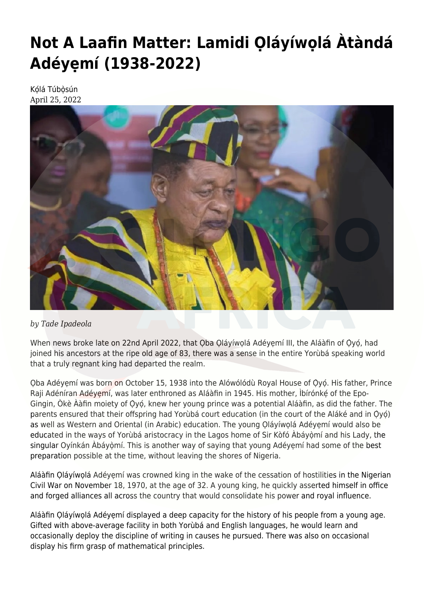# **[Not A Laafin Matter: Lamidi Ọláyíwọlá Àtàndá](https://olongoafrica.com/not-a-laafin-matter-lamidi-olayiwola-atanda-adeyemi-1938-2022/) [Adéyẹmí \(1938-2022\)](https://olongoafrica.com/not-a-laafin-matter-lamidi-olayiwola-atanda-adeyemi-1938-2022/)**

Kólá Túbòsún April 25, 2022



### *by Tade Ipadeola*

When news broke late on 22nd April 2022, that Ọba Ọláyíwọlá Adéyẹmí III, the Aláàfin of Ọyọ́, had joined his ancestors at the ripe old age of 83, there was a sense in the entire Yorùbá speaking world that a truly regnant king had departed the realm.

Ọba Adéyẹmí was born on October 15, 1938 into the Alówólódù Royal House of Ọ̀yọ́. His father, Prince Raji Adéníran Adéyemí, was later enthroned as Aláàfin in 1945. His mother, Ìbírónké of the Epo-Gingin, Òkè Ààfin moiety of Oyó, knew her young prince was a potential Aláàfin, as did the father. The parents ensured that their offspring had Yorùbá court education (in the court of the Aláké and in Oyó) as well as Western and Oriental (in Arabic) education. The young Ọláyíwọlá Adéyẹmí would also be educated in the ways of Yorùbá aristocracy in the Lagos home of Sir Kòfó Àbáyòmí and his Lady, the singular Oyínkán Àbáyòmí. This is another way of saying that young Adéyemí had some of the best preparation possible at the time, without leaving the shores of Nigeria.

Aláàfin Ọláyíwọlá Adéyẹmí was crowned king in the wake of the cessation of hostilities in the Nigerian Civil War on November 18, 1970, at the age of 32. A young king, he quickly asserted himself in office and forged alliances all across the country that would consolidate his power and royal influence.

Aláàfin Ọláyíwọlá Adéyẹmí displayed a deep capacity for the history of his people from a young age. Gifted with above-average facility in both Yorùbá and English languages, he would learn and occasionally deploy the discipline of writing in causes he pursued. There was also on occasional display his firm grasp of mathematical principles.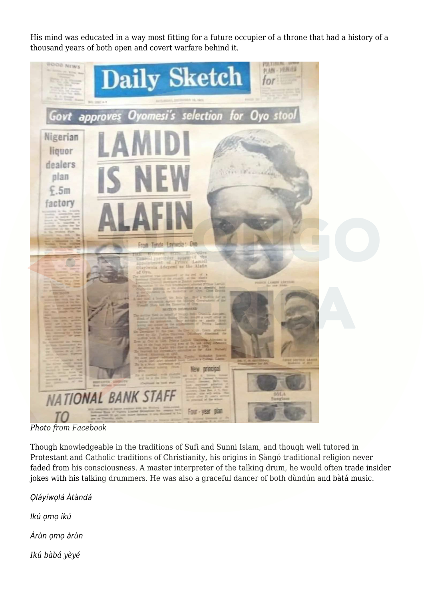His mind was educated in a way most fitting for a future occupier of a throne that had a history of a thousand years of both open and covert warfare behind it.



*Photo from Facebook*

Though knowledgeable in the traditions of Sufi and Sunni Islam, and though well tutored in Protestant and Catholic traditions of Christianity, his origins in Ṣàngó traditional religion never faded from his consciousness. A master interpreter of the talking drum, he would often trade insider jokes with his talking drummers. He was also a graceful dancer of both dùndún and bàtá music.

Ọláyíwọlá Àtàndá

Ikú ọmọ ikú

Àrùn omo àrùn

*Ikú bàbá yèyé*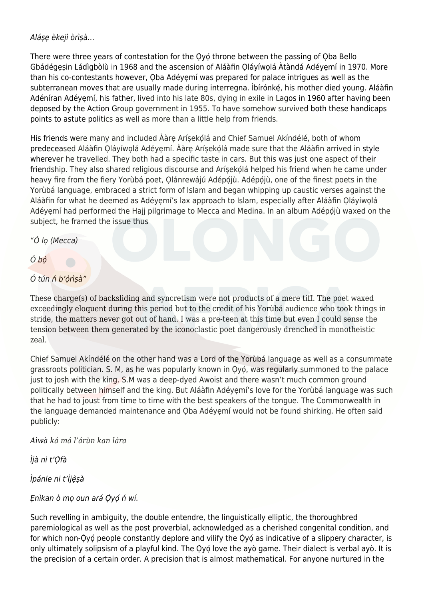### Aláse èkejì òrìsà...

There were three years of contestation for the Qyo throne between the passing of Qba Bello Gbádégẹṣin Ládìgbòlù in 1968 and the ascension of Aláàfin Ọláyíwọlá Àtàndá Adéyẹmí in 1970. More than his co-contestants however, Ọba Adéyẹmí was prepared for palace intrigues as well as the subterranean moves that are usually made during interregna. Ibírónké, his mother died young. Aláàfin Adéníran Adéyẹmí, his father, lived into his late 80s, dying in exile in Lagos in 1960 after having been deposed by the Action Group government in 1955. To have somehow survived both these handicaps points to astute politics as well as more than a little help from friends.

His friends were many and included Ààrẹ Aríṣekọ́lá and Chief Samuel Akíndélé, both of whom predeceased Aláàfin Ọláyíwọlá Adéyẹmí. Ààrẹ Aríṣekọ́lá made sure that the Aláàfin arrived in style wherever he travelled. They both had a specific taste in cars. But this was just one aspect of their friendship. They also shared religious discourse and Arísekólá helped his friend when he came under heavy fire from the fiery Yorùbá poet, Olánrewájú Adépójù. Adépójù, one of the finest poets in the Yorùbá language, embraced a strict form of Islam and began whipping up caustic verses against the Aláàfin for what he deemed as Adéyemí's lax approach to Islam, especially after Aláàfin Oláyíwolá Adéyẹmí had performed the Hajj pilgrimage to Mecca and Medina. In an album Adépọ́jù waxed on the subject, he framed the issue thus

"Ó lọ (Mecca)

## Ó bọ̀

## Ó tún ń b'ọ̀rìṣà"

These charge(s) of backsliding and syncretism were not products of a mere tiff. The poet waxed exceedingly eloquent during this period but to the credit of his Yorùbá audience who took things in stride, the matters never got out of hand. I was a pre-teen at this time but even I could sense the tension between them generated by the iconoclastic poet dangerously drenched in monotheistic zeal.

Chief Samuel Akíndélé on the other hand was a Lord of the Yorùbá language as well as a consummate grassroots politician. S. M, as he was popularly known in Oyó, was regularly summoned to the palace just to josh with the king. S.M was a deep-dyed Awoist and there wasn't much common ground politically between himself and the king. But Aláàfin Adéyẹmí's love for the Yorùbá language was such that he had to joust from time to time with the best speakers of the tongue. The Commonwealth in the language demanded maintenance and Ọba Adéyẹmí would not be found shirking. He often said publicly:

### *Aìwà ká má l'árùn kan lára*

Ìjà ni t'Ọ̀fà

Ìpánle ni t'Ìjẹ̀ṣà

## Ẹnìkan ò mọ oun ará Ọ̀yọ́ ń wí.

Such revelling in ambiguity, the double entendre, the linguistically elliptic, the thoroughbred paremiological as well as the post proverbial, acknowledged as a cherished congenital condition, and for which non-Oyó people constantly deplore and vilify the Oyó as indicative of a slippery character, is only ultimately solipsism of a playful kind. The Ọ̀yọ́ love the ayò game. Their dialect is verbal ayò. It is the precision of a certain order. A precision that is almost mathematical. For anyone nurtured in the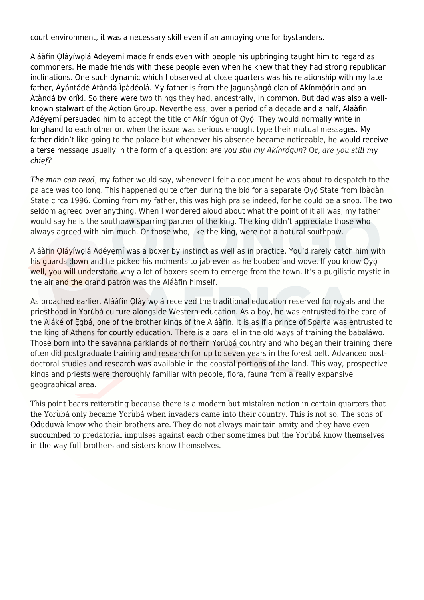court environment, it was a necessary skill even if an annoying one for bystanders.

Aláàfin Ọláyíwọlá Adeyemi made friends even with people his upbringing taught him to regard as commoners. He made friends with these people even when he knew that they had strong republican inclinations. One such dynamic which I observed at close quarters was his relationship with my late father, Àyántádé Àtàndá Ìpàdéọlá. My father is from the Jagunṣàngó clan of Akínmọ̀ọ́rin and an Àtàndá by oríkì. So there were two things they had, ancestrally, in common. But dad was also a wellknown stalwart of the Action Group. Nevertheless, over a period of a decade and a half, Aláàfin Adéyemí persuaded him to accept the title of Akínrógun of Ọyọ́. They would normally write in longhand to each other or, when the issue was serious enough, type their mutual messages. My father didn't like going to the palace but whenever his absence became noticeable, he would receive a terse message usually in the form of a question: are you still my Akínrógun? Or, are you still my *chief?* 

*The man can read*, my father would say, whenever I felt a document he was about to despatch to the palace was too long. This happened quite often during the bid for a separate Ọ̀yọ́ State from Ìbàdàn State circa 1996. Coming from my father, this was high praise indeed, for he could be a snob. The two seldom agreed over anything. When I wondered aloud about what the point of it all was, my father would say he is the southpaw sparring partner of the king. The king didn't appreciate those who always agreed with him much. Or those who, like the king, were not a natural southpaw.

Aláàfin Ọláyíwọlá Adéyẹmí was a boxer by instinct as well as in practice. You'd rarely catch him with his guards down and he picked his moments to jab even as he bobbed and wove. If you know Oyó well, you will understand why a lot of boxers seem to emerge from the town. It's a pugilistic mystic in the air and the grand patron was the Aláàfin himself.

As broached earlier, Aláàfin Oláyíwolá received the traditional education reserved for royals and the priesthood in Yorùbá culture alongside Western education. As a boy, he was entrusted to the care of the Aláké of Ẹ̀gbá, one of the brother kings of the Aláàfin. It is as if a prince of Sparta was entrusted to the king of Athens for courtly education. There is a parallel in the old ways of training the babaláwo. Those born into the savanna parklands of northern Yorùbá country and who began their training there often did postgraduate training and research for up to seven years in the forest belt. Advanced postdoctoral studies and research was available in the coastal portions of the land. This way, prospective kings and priests were thoroughly familiar with people, flora, fauna from a really expansive geographical area.

This point bears reiterating because there is a modern but mistaken notion in certain quarters that the Yorùbá only became Yorùbá when invaders came into their country. This is not so. The sons of Odùduwà know who their brothers are. They do not always maintain amity and they have even succumbed to predatorial impulses against each other sometimes but the Yorùbá know themselves in the way full brothers and sisters know themselves.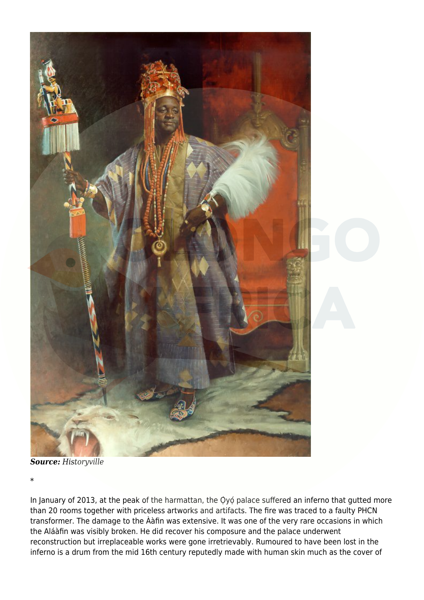

*Source: [Historyville](https://twitter.com/HistoryVille/status/1517754453507682306)*

\*

In January of 2013, at the peak of the harmattan, the Ọyọ́ palace suffered an inferno that gutted more than 20 rooms together with priceless artworks and artifacts. The fire was traced to a faulty PHCN transformer. The damage to the Ààfin was extensive. It was one of the very rare occasions in which the Aláàfin was visibly broken. He did recover his composure and the palace underwent reconstruction but irreplaceable works were gone irretrievably. Rumoured to have been lost in the inferno is a drum from the mid 16th century reputedly made with human skin much as the cover of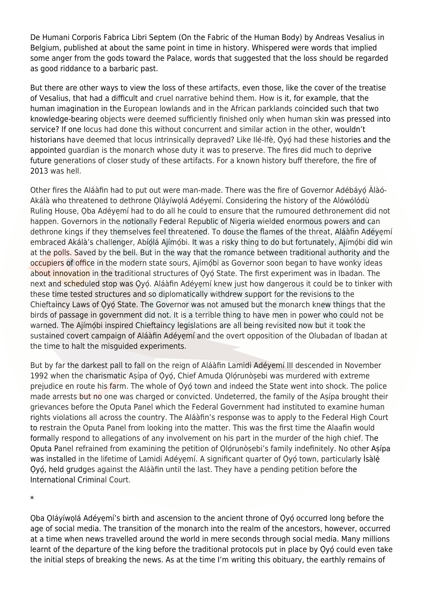De Humani Corporis Fabrica Libri Septem (On the Fabric of the Human Body) by Andreas Vesalius in Belgium, published at about the same point in time in history. Whispered were words that implied some anger from the gods toward the Palace, words that suggested that the loss should be regarded as good riddance to a barbaric past.

But there are other ways to view the loss of these artifacts, even those, like the cover of the treatise of Vesalius, that had a difficult and cruel narrative behind them. How is it, for example, that the human imagination in the European lowlands and in the African parklands coincided such that two knowledge-bearing objects were deemed sufficiently finished only when human skin was pressed into service? If one locus had done this without concurrent and similar action in the other, wouldn't historians have deemed that locus intrinsically depraved? Like Ilé-Ifè, Oyó had these histories and the appointed guardian is the monarch whose duty it was to preserve. The fires did much to deprive future generations of closer study of these artifacts. For a known history buff therefore, the fire of 2013 was hell.

Other fires the Aláàfin had to put out were man-made. There was the fire of Governor Adébáyọ́ Àlàó-Akálà who threatened to dethrone Oláyíwolá Adéyemí. Considering the history of the Alówólódù Ruling House, Ọba Adéyẹmí had to do all he could to ensure that the rumoured dethronement did not happen. Governors in the notionally Federal Republic of Nigeria wielded enormous powers and can dethrone kings if they themselves feel threatened. To douse the flames of the threat, Aláàfin Adéyẹmí embraced Akálà's challenger, Abíólá Ajímóbi. It was a risky thing to do but fortunately, Ajímóbi did win at the polls. Saved by the bell. But in the way that the romance between traditional authority and the occupiers of office in the modern state sours, Ajímóbi as Governor soon began to have wonky ideas about innovation in the traditional structures of Oyo State. The first experiment was in Ibadan. The next and scheduled stop was Oyó. Aláàfin Adéyemí knew just how dangerous it could be to tinker with these time tested structures and so diplomatically withdrew support for the revisions to the Chieftaincy Laws of Oyó State. The Governor was not amused but the monarch knew things that the birds of passage in government did not. It is a terrible thing to have men in power who could not be warned. The Ajímóbi inspired Chieftaincy legislations are all being revisited now but it took the sustained covert campaign of Aláàfin Adéyẹmí and the overt opposition of the Olubadan of Ibadan at the time to halt the misguided experiments.

But by far the darkest pall to fall on the reign of Aláàfin Lamidi Adéyemí III descended in November 1992 when the charismatic Asípa of Oyó, Chief Amuda Olórunòsebi was murdered with extreme prejudice en route his farm. The whole of Qyo town and indeed the State went into shock. The police made arrests but no one was charged or convicted. Undeterred, the family of the Asípa brought their grievances before the Oputa Panel which the Federal Government had instituted to examine human rights violations all across the country. The Aláàfin's response was to apply to the Federal High Court to restrain the Oputa Panel from looking into the matter. This was the first time the Alaafin would formally respond to allegations of any involvement on his part in the murder of the high chief. The Oputa Panel refrained from examining the petition of Olórunòsebi's family indefinitely. No other Asípa was installed in the lifetime of Lamidi Adéyemí. A significant quarter of Oyó town, particularly Ìsàlè Ọ̀yọ́, held grudges against the Aláàfin until the last. They have a pending petition before the International Criminal Court.

\*

Ọba Ọláyíwọlá Adéyẹmí's birth and ascension to the ancient throne of Ọ̀yọ́ occurred long before the age of social media. The transition of the monarch into the realm of the ancestors, however, occurred at a time when news travelled around the world in mere seconds through social media. Many millions learnt of the departure of the king before the traditional protocols put in place by Ọyọ́ could even take the initial steps of breaking the news. As at the time I'm writing this obituary, the earthly remains of